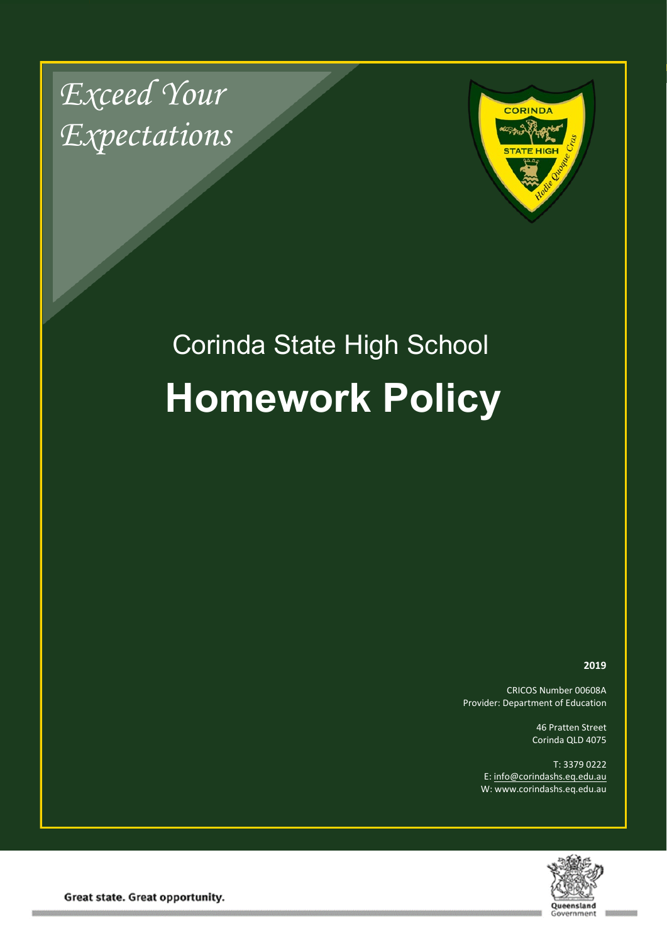*Exceed Your Expectations*



# Corinda State High School **Homework Policy**

**2019**

CRICOS Number 00608A Provider: Department of Education

> 46 Pratten Street Corinda QLD 4075

T: 3379 0222 E: [info@corindashs.eq.edu.au](mailto:info@corindashs.eq.edu.au) W: www.corindashs.eq.edu.au



Great state. Great opportunity.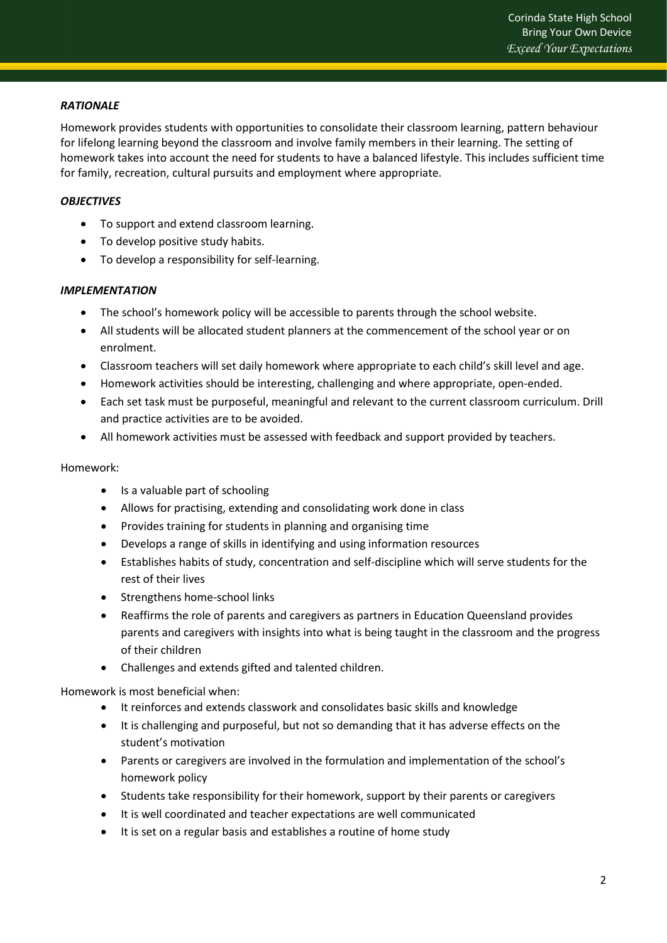## *RATIONALE*

Homework provides students with opportunities to consolidate their classroom learning, pattern behaviour for lifelong learning beyond the classroom and involve family members in their learning. The setting of homework takes into account the need for students to have a balanced lifestyle. This includes sufficient time for family, recreation, cultural pursuits and employment where appropriate.

#### *OBJECTIVES*

- To support and extend classroom learning.
- To develop positive study habits.
- To develop a responsibility for self-learning.

#### *IMPLEMENTATION*

- The school's homework policy will be accessible to parents through the school website.
- All students will be allocated student planners at the commencement of the school year or on enrolment.
- Classroom teachers will set daily homework where appropriate to each child's skill level and age.
- Homework activities should be interesting, challenging and where appropriate, open-ended.
- Each set task must be purposeful, meaningful and relevant to the current classroom curriculum. Drill and practice activities are to be avoided.
- All homework activities must be assessed with feedback and support provided by teachers.

#### Homework:

- Is a valuable part of schooling
- Allows for practising, extending and consolidating work done in class
- Provides training for students in planning and organising time
- Develops a range of skills in identifying and using information resources
- Establishes habits of study, concentration and self-discipline which will serve students for the rest of their lives
- Strengthens home-school links
- Reaffirms the role of parents and caregivers as partners in Education Queensland provides parents and caregivers with insights into what is being taught in the classroom and the progress of their children
- Challenges and extends gifted and talented children.

Homework is most beneficial when:

- It reinforces and extends classwork and consolidates basic skills and knowledge
- It is challenging and purposeful, but not so demanding that it has adverse effects on the student's motivation
- Parents or caregivers are involved in the formulation and implementation of the school's homework policy
- Students take responsibility for their homework, support by their parents or caregivers
- It is well coordinated and teacher expectations are well communicated
- It is set on a regular basis and establishes a routine of home study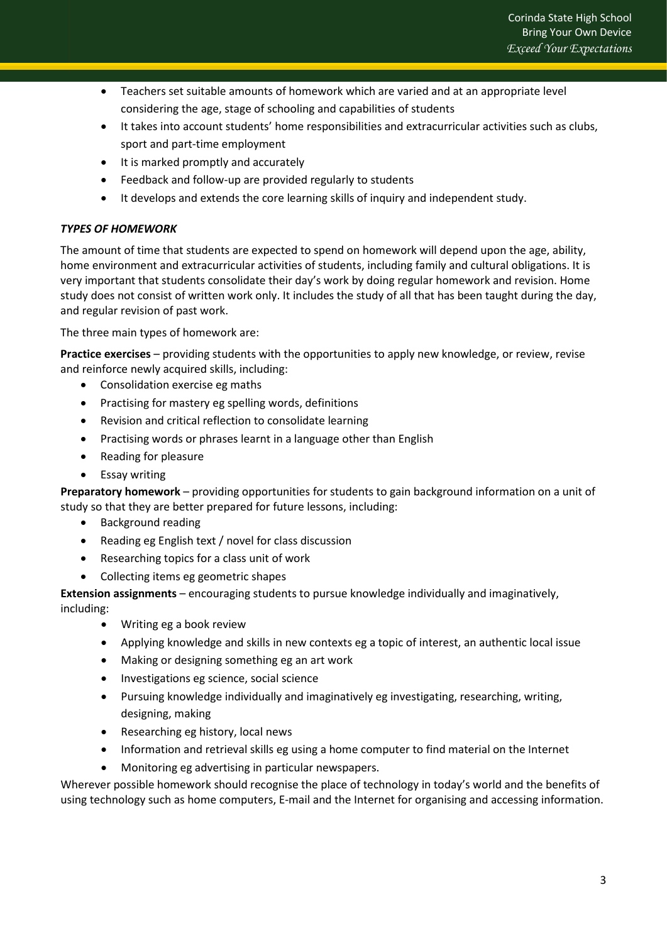- Teachers set suitable amounts of homework which are varied and at an appropriate level considering the age, stage of schooling and capabilities of students
- It takes into account students' home responsibilities and extracurricular activities such as clubs, sport and part-time employment
- It is marked promptly and accurately
- Feedback and follow-up are provided regularly to students
- It develops and extends the core learning skills of inquiry and independent study.

## *TYPES OF HOMEWORK*

The amount of time that students are expected to spend on homework will depend upon the age, ability, home environment and extracurricular activities of students, including family and cultural obligations. It is very important that students consolidate their day's work by doing regular homework and revision. Home study does not consist of written work only. It includes the study of all that has been taught during the day, and regular revision of past work.

The three main types of homework are:

**Practice exercises** – providing students with the opportunities to apply new knowledge, or review, revise and reinforce newly acquired skills, including:

- Consolidation exercise eg maths
- Practising for mastery eg spelling words, definitions
- Revision and critical reflection to consolidate learning
- Practising words or phrases learnt in a language other than English
- Reading for pleasure
- Essay writing

**Preparatory homework** – providing opportunities for students to gain background information on a unit of study so that they are better prepared for future lessons, including:

- Background reading
- Reading eg English text / novel for class discussion
- Researching topics for a class unit of work
- Collecting items eg geometric shapes

**Extension assignments** – encouraging students to pursue knowledge individually and imaginatively, including:

- Writing eg a book review
- Applying knowledge and skills in new contexts eg a topic of interest, an authentic local issue
- Making or designing something eg an art work
- Investigations eg science, social science
- Pursuing knowledge individually and imaginatively eg investigating, researching, writing, designing, making
- Researching eg history, local news
- Information and retrieval skills eg using a home computer to find material on the Internet
- Monitoring eg advertising in particular newspapers.

Wherever possible homework should recognise the place of technology in today's world and the benefits of using technology such as home computers, E-mail and the Internet for organising and accessing information.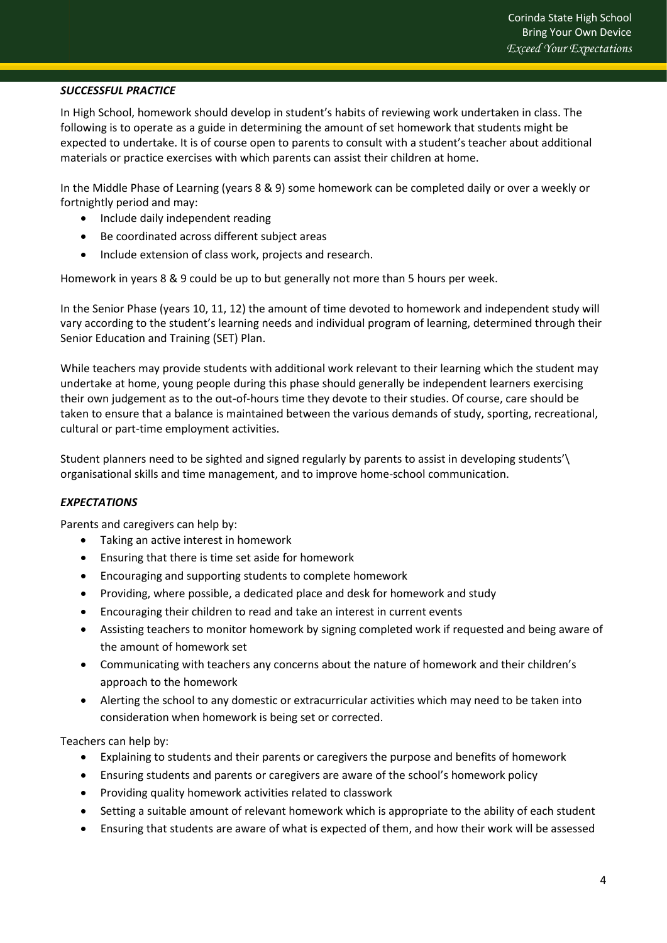## *SUCCESSFUL PRACTICE*

In High School, homework should develop in student's habits of reviewing work undertaken in class. The following is to operate as a guide in determining the amount of set homework that students might be expected to undertake. It is of course open to parents to consult with a student's teacher about additional materials or practice exercises with which parents can assist their children at home.

In the Middle Phase of Learning (years 8 & 9) some homework can be completed daily or over a weekly or fortnightly period and may:

- Include daily independent reading
- Be coordinated across different subject areas
- Include extension of class work, projects and research.

Homework in years 8 & 9 could be up to but generally not more than 5 hours per week.

In the Senior Phase (years 10, 11, 12) the amount of time devoted to homework and independent study will vary according to the student's learning needs and individual program of learning, determined through their Senior Education and Training (SET) Plan.

While teachers may provide students with additional work relevant to their learning which the student may undertake at home, young people during this phase should generally be independent learners exercising their own judgement as to the out-of-hours time they devote to their studies. Of course, care should be taken to ensure that a balance is maintained between the various demands of study, sporting, recreational, cultural or part-time employment activities.

Student planners need to be sighted and signed regularly by parents to assist in developing students'\ organisational skills and time management, and to improve home-school communication.

## *EXPECTATIONS*

Parents and caregivers can help by:

- Taking an active interest in homework
- Ensuring that there is time set aside for homework
- Encouraging and supporting students to complete homework
- Providing, where possible, a dedicated place and desk for homework and study
- Encouraging their children to read and take an interest in current events
- Assisting teachers to monitor homework by signing completed work if requested and being aware of the amount of homework set
- Communicating with teachers any concerns about the nature of homework and their children's approach to the homework
- Alerting the school to any domestic or extracurricular activities which may need to be taken into consideration when homework is being set or corrected.

Teachers can help by:

- Explaining to students and their parents or caregivers the purpose and benefits of homework
- Ensuring students and parents or caregivers are aware of the school's homework policy
- Providing quality homework activities related to classwork
- Setting a suitable amount of relevant homework which is appropriate to the ability of each student
- Ensuring that students are aware of what is expected of them, and how their work will be assessed